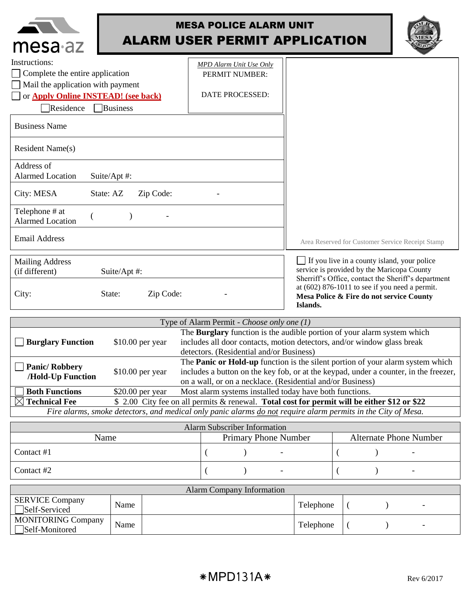| mesa <sub>az</sub>                                    | <b>MESA POLICE ALARM UNIT</b><br><b>ALARM USER PERMIT APPLICATION</b> |                                                                                                          |  |
|-------------------------------------------------------|-----------------------------------------------------------------------|----------------------------------------------------------------------------------------------------------|--|
| Instructions:                                         | <b>MPD</b> Alarm Unit Use Only                                        |                                                                                                          |  |
| Complete the entire application                       | PERMIT NUMBER:                                                        |                                                                                                          |  |
| Mail the application with payment                     |                                                                       |                                                                                                          |  |
| or <b>Apply Online INSTEAD!</b> (see back)            | DATE PROCESSED:                                                       |                                                                                                          |  |
| Residence<br><b>Business</b>                          |                                                                       |                                                                                                          |  |
| <b>Business Name</b>                                  |                                                                       |                                                                                                          |  |
| <b>Resident Name(s)</b>                               |                                                                       |                                                                                                          |  |
| Address of<br><b>Alarmed Location</b><br>Suite/Apt #: |                                                                       |                                                                                                          |  |
| City: MESA<br>State: AZ<br>Zip Code:                  |                                                                       |                                                                                                          |  |
| Telephone # at<br><b>Alarmed Location</b>             |                                                                       |                                                                                                          |  |
| <b>Email Address</b>                                  |                                                                       | Area Reserved for Customer Service Receipt Stamp                                                         |  |
| <b>Mailing Address</b>                                |                                                                       | If you live in a county island, your police                                                              |  |
| (if different)<br>Suite/Apt #:                        |                                                                       | service is provided by the Maricopa County<br>Sherriff's Office, contact the Sheriff's department        |  |
| Zip Code:<br>City:<br>State:                          |                                                                       | at $(602)$ 876-1011 to see if you need a permit.<br>Mesa Police & Fire do not service County<br>Islands. |  |

| Type of Alarm Permit - Choose only one (1)                                                                                |                   |                                                                                      |  |
|---------------------------------------------------------------------------------------------------------------------------|-------------------|--------------------------------------------------------------------------------------|--|
|                                                                                                                           |                   | The Burglary function is the audible portion of your alarm system which              |  |
| $\Box$ Burglary Function                                                                                                  | $$10.00$ per year | includes all door contacts, motion detectors, and/or window glass break              |  |
|                                                                                                                           |                   | detectors. (Residential and/or Business)                                             |  |
| <b>Panic/Robbery</b><br>/Hold-Up Function                                                                                 | $$10.00$ per year | The Panic or Hold-up function is the silent portion of your alarm system which       |  |
|                                                                                                                           |                   | includes a button on the key fob, or at the keypad, under a counter, in the freezer, |  |
|                                                                                                                           |                   | on a wall, or on a necklace. (Residential and/or Business)                           |  |
| <b>Both Functions</b>                                                                                                     | $$20.00$ per year | Most alarm systems installed today have both functions.                              |  |
| $\boxtimes$ Technical Fee<br>\$ 2.00 City fee on all permits & renewal. Total cost for permit will be either \$12 or \$22 |                   |                                                                                      |  |
| Fire alarms, smoke detectors, and medical only panic alarms do not require alarm permits in the City of Mesa.             |                   |                                                                                      |  |

| <b>Alarm Subscriber Information</b> |  |  |                             |  |  |                               |
|-------------------------------------|--|--|-----------------------------|--|--|-------------------------------|
| Name                                |  |  | <b>Primary Phone Number</b> |  |  | <b>Alternate Phone Number</b> |
| Contact #1                          |  |  |                             |  |  |                               |
| Contact #2                          |  |  |                             |  |  |                               |

| <b>Alarm Company Information</b>            |      |  |           |  |  |
|---------------------------------------------|------|--|-----------|--|--|
| <b>SERVICE Company</b><br>Self-Serviced     | Name |  | Telephone |  |  |
| <b>MONITORING Company</b><br>Self-Monitored | Name |  | Telephone |  |  |